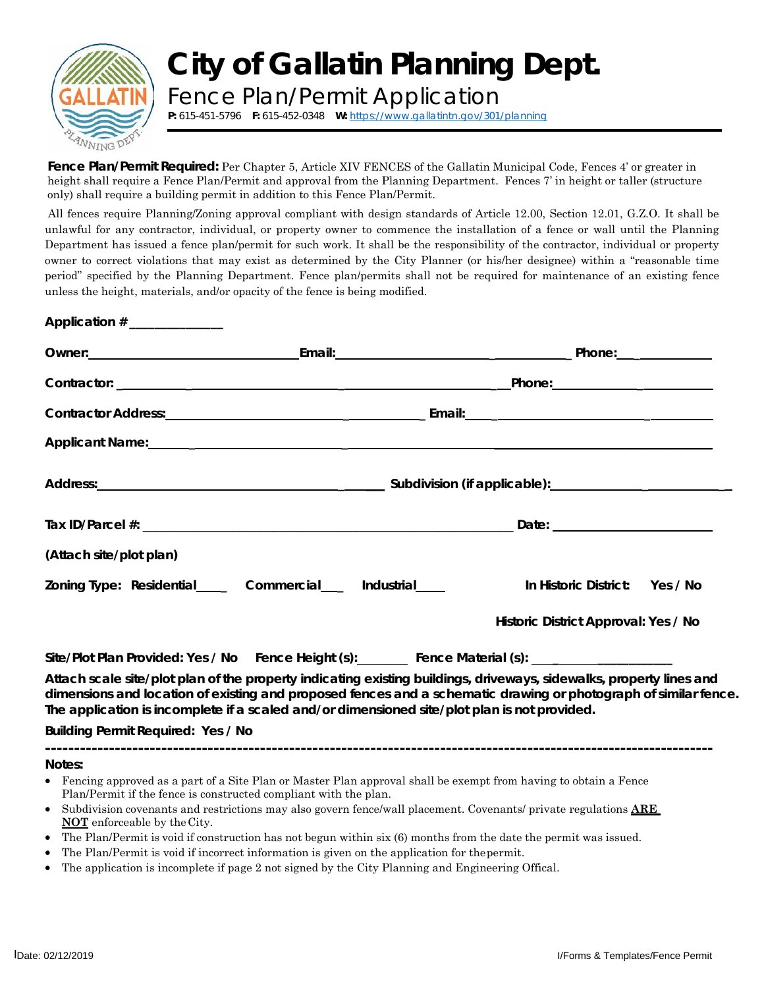

## **City of Gallatin Planning Dept.**

Fence Plan/Permit [Application](https://www.gallatintn.gov/301/planning) **P:** 615-451-5796 **F:** 615-452-0348 **W:** https://www.gallatintn.gov/301/planning

*Fence Plan/Permit Required:* Per Chapter 5, Article XIV FENCES of the Gallatin Municipal Code, Fences 4' or greater in height shall require a Fence Plan/Permit and approval from the Planning Department. Fences 7' in height or taller (structure only) shall require a building permit in addition to this Fence Plan/Permit.

All fences require Planning/Zoning approval compliant with design standards of Article 12.00, Section 12.01, G.Z.O. It shall be unlawful for any contractor, individual, or property owner to commence the installation of a fence or wall until the Planning Department has issued a fence plan/permit for such work. It shall be the responsibility of the contractor, individual or property owner to correct violations that may exist as determined by the City Planner (or his/her designee) within a "reasonable time period" specified by the Planning Department. Fence plan/permits shall not be required for maintenance of an existing fence unless the height, materials, and/or opacity of the fence is being modified.

| Application $#$ ______________     |                                                                                                                |                                                                                                                                                                                                                                        |  |  |
|------------------------------------|----------------------------------------------------------------------------------------------------------------|----------------------------------------------------------------------------------------------------------------------------------------------------------------------------------------------------------------------------------------|--|--|
|                                    |                                                                                                                |                                                                                                                                                                                                                                        |  |  |
|                                    |                                                                                                                |                                                                                                                                                                                                                                        |  |  |
|                                    |                                                                                                                |                                                                                                                                                                                                                                        |  |  |
|                                    | Applicant Name: Applicant Name: Applicant Name: Applicant Name: Applicant Name: Applicant Name: Applicant Name |                                                                                                                                                                                                                                        |  |  |
|                                    |                                                                                                                |                                                                                                                                                                                                                                        |  |  |
|                                    |                                                                                                                |                                                                                                                                                                                                                                        |  |  |
| (Attach site/plot plan)            |                                                                                                                |                                                                                                                                                                                                                                        |  |  |
|                                    | Zoning Type: Residential______ Commercial____ Industrial_____                                                  | In Historic District: Yes / No                                                                                                                                                                                                         |  |  |
|                                    |                                                                                                                | Historic District Approval: Yes / No                                                                                                                                                                                                   |  |  |
|                                    | Site/Plot Plan Provided: Yes / No Fence Height (s): Fence Material (s): ___________________________            |                                                                                                                                                                                                                                        |  |  |
|                                    | The application is incomplete if a scaled and/or dimensioned site/plot plan is not provided.                   | Attach scale site/plot plan of the property indicating existing buildings, driveways, sidewalks, property lines and<br>dimensions and location of existing and proposed fences and a schematic drawing or photograph of similar fence. |  |  |
| Building Permit Required: Yes / No |                                                                                                                |                                                                                                                                                                                                                                        |  |  |
| Notes:                             |                                                                                                                |                                                                                                                                                                                                                                        |  |  |

- Fencing approved as a part of a Site Plan or Master Plan approval shall be exempt from having to obtain a Fence Plan/Permit if the fence is constructed compliant with the plan.
- Subdivision covenants and restrictions may also govern fence/wall placement. Covenants/ private regulations **ARE NOT** enforceable by the City.
- The Plan/Permit is void if construction has not begun within six (6) months from the date the permit was issued.
- The Plan/Permit is void if incorrect information is given on the application for thepermit.
- The application is incomplete if page 2 not signed by the City Planning and Engineering Offical.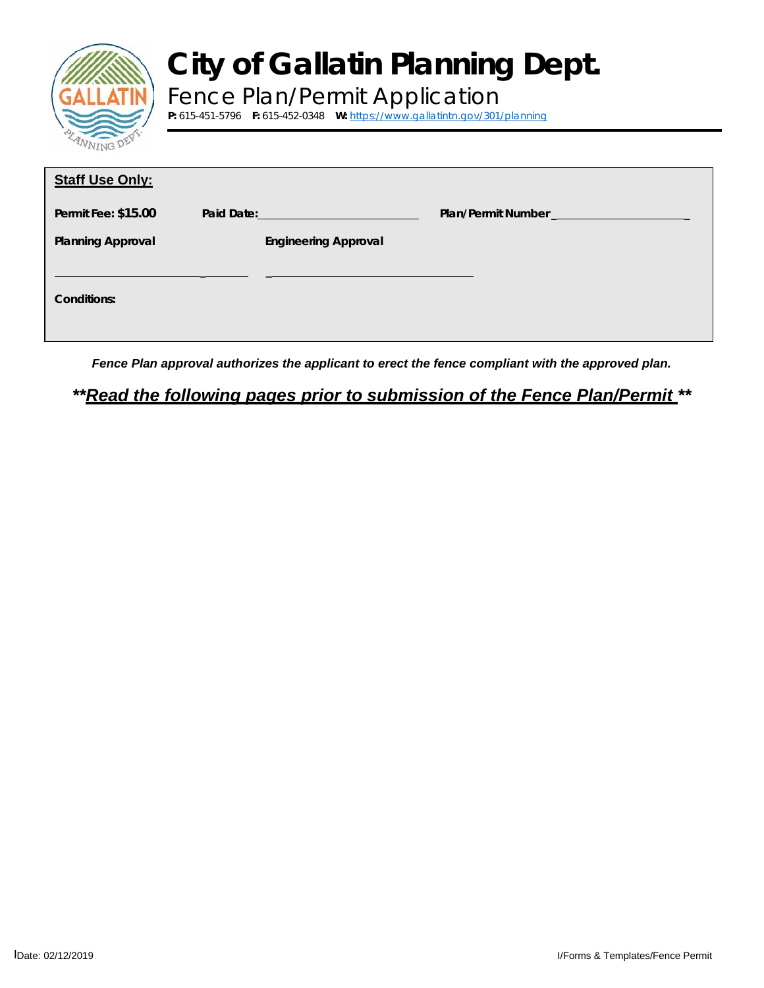| NING D |  |
|--------|--|

## **City of Gallatin Planning Dept.**

Fence Plan/Permit [Application](https://www.gallatintn.gov/301/planning) **P:** 615-451-5796 **F:** 615-452-0348 **W:** https://www.gallatintn.gov/301/planning

| <b>Staff Use Only:</b>   |                                |                                                                                                                                                                                                                                    |
|--------------------------|--------------------------------|------------------------------------------------------------------------------------------------------------------------------------------------------------------------------------------------------------------------------------|
| Permit Fee: \$15.00      | Paid Date: New York Paid Date: | <b>Plan/Permit Number Contract Contract Contract Contract Contract Contract Contract Contract Contract Contract Contract Contract Contract Contract Contract Contract Contract Contract Contract Contract Contract Contract Co</b> |
| <b>Planning Approval</b> | <b>Engineering Approval</b>    |                                                                                                                                                                                                                                    |
| Conditions:              |                                |                                                                                                                                                                                                                                    |

*Fence Plan approval authorizes the applicant to erect the fence compliant with the approved plan.*

*\*\*Read the following pages prior to submission of the Fence Plan/Permit \*\**